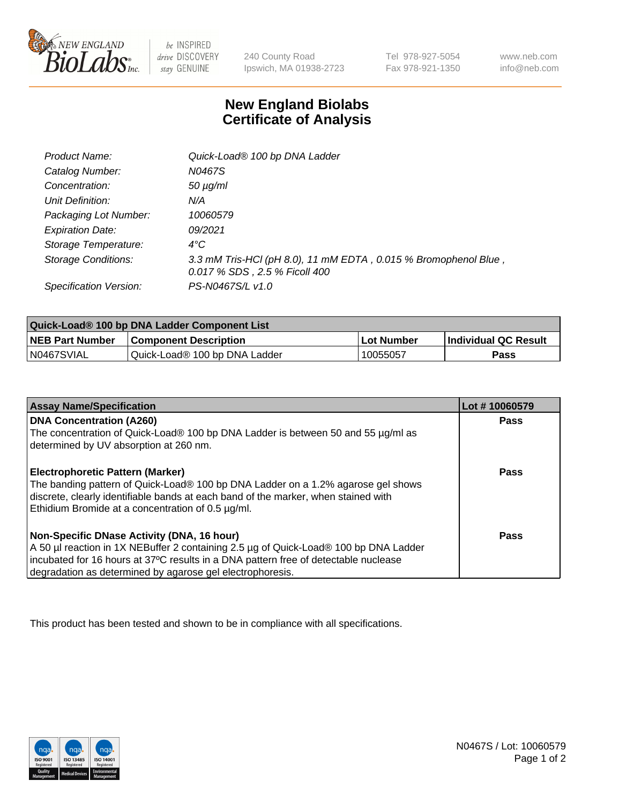

 $be$  INSPIRED drive DISCOVERY stay GENUINE

240 County Road Ipswich, MA 01938-2723 Tel 978-927-5054 Fax 978-921-1350 www.neb.com info@neb.com

## **New England Biolabs Certificate of Analysis**

| Product Name:              | Quick-Load® 100 bp DNA Ladder                                                                    |
|----------------------------|--------------------------------------------------------------------------------------------------|
| Catalog Number:            | N0467S                                                                                           |
| Concentration:             | $50 \mu g/ml$                                                                                    |
| Unit Definition:           | N/A                                                                                              |
| Packaging Lot Number:      | 10060579                                                                                         |
| <b>Expiration Date:</b>    | 09/2021                                                                                          |
| Storage Temperature:       | $4^{\circ}$ C                                                                                    |
| <b>Storage Conditions:</b> | 3.3 mM Tris-HCl (pH 8.0), 11 mM EDTA, 0.015 % Bromophenol Blue,<br>0.017 % SDS, 2.5 % Ficoll 400 |
| Specification Version:     | PS-N0467S/L v1.0                                                                                 |

| Quick-Load® 100 bp DNA Ladder Component List |                               |            |                             |  |
|----------------------------------------------|-------------------------------|------------|-----------------------------|--|
| <b>NEB Part Number</b>                       | <b>Component Description</b>  | Lot Number | <b>Individual QC Result</b> |  |
| N0467SVIAL                                   | Quick-Load® 100 bp DNA Ladder | 10055057   | Pass                        |  |

| <b>Assay Name/Specification</b>                                                                                                                                                                                                                                                        | Lot #10060579 |
|----------------------------------------------------------------------------------------------------------------------------------------------------------------------------------------------------------------------------------------------------------------------------------------|---------------|
| <b>DNA Concentration (A260)</b><br>The concentration of Quick-Load® 100 bp DNA Ladder is between 50 and 55 µg/ml as<br>determined by UV absorption at 260 nm.                                                                                                                          | <b>Pass</b>   |
| <b>Electrophoretic Pattern (Marker)</b><br>The banding pattern of Quick-Load® 100 bp DNA Ladder on a 1.2% agarose gel shows<br>discrete, clearly identifiable bands at each band of the marker, when stained with<br>Ethidium Bromide at a concentration of 0.5 µg/ml.                 | Pass          |
| Non-Specific DNase Activity (DNA, 16 hour)<br>A 50 µl reaction in 1X NEBuffer 2 containing 2.5 µg of Quick-Load® 100 bp DNA Ladder<br>incubated for 16 hours at 37°C results in a DNA pattern free of detectable nuclease<br>degradation as determined by agarose gel electrophoresis. | Pass          |

This product has been tested and shown to be in compliance with all specifications.